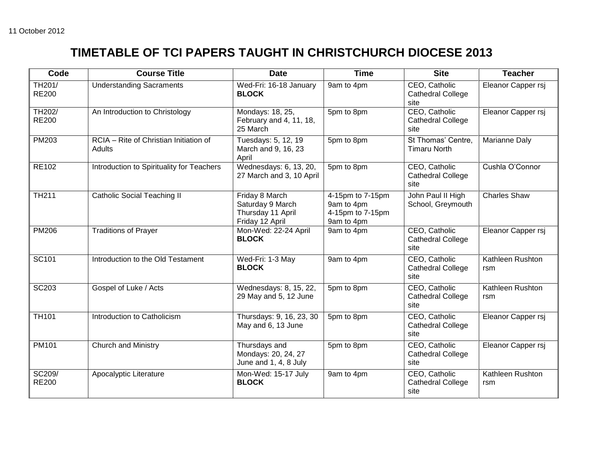## **TIMETABLE OF TCI PAPERS TAUGHT IN CHRISTCHURCH DIOCESE 2013**

| Code                   | <b>Course Title</b>                              | <b>Date</b>                                                                | <b>Time</b>                                                      | <b>Site</b>                                       | <b>Teacher</b>          |
|------------------------|--------------------------------------------------|----------------------------------------------------------------------------|------------------------------------------------------------------|---------------------------------------------------|-------------------------|
| TH201/<br><b>RE200</b> | <b>Understanding Sacraments</b>                  | Wed-Fri: 16-18 January<br><b>BLOCK</b>                                     | 9am to 4pm                                                       | CEO, Catholic<br><b>Cathedral College</b><br>site | Eleanor Capper rsj      |
| TH202/<br><b>RE200</b> | An Introduction to Christology                   | Mondays: 18, 25,<br>February and 4, 11, 18,<br>25 March                    | 5pm to 8pm                                                       | CEO, Catholic<br><b>Cathedral College</b><br>site | Eleanor Capper rsj      |
| PM203                  | RCIA - Rite of Christian Initiation of<br>Adults | Tuesdays: 5, 12, 19<br>March and 9, 16, 23<br>April                        | 5pm to 8pm                                                       | St Thomas' Centre.<br><b>Timaru North</b>         | Marianne Daly           |
| <b>RE102</b>           | Introduction to Spirituality for Teachers        | Wednesdays: 6, 13, 20,<br>27 March and 3, 10 April                         | 5pm to 8pm                                                       | CEO, Catholic<br><b>Cathedral College</b><br>site | Cushla O'Connor         |
| <b>TH211</b>           | <b>Catholic Social Teaching II</b>               | Friday 8 March<br>Saturday 9 March<br>Thursday 11 April<br>Friday 12 April | 4-15pm to 7-15pm<br>9am to 4pm<br>4-15pm to 7-15pm<br>9am to 4pm | John Paul II High<br>School, Greymouth            | <b>Charles Shaw</b>     |
| <b>PM206</b>           | <b>Traditions of Prayer</b>                      | Mon-Wed: 22-24 April<br><b>BLOCK</b>                                       | 9am to 4pm                                                       | CEO, Catholic<br><b>Cathedral College</b><br>site | Eleanor Capper rsj      |
| SC101                  | Introduction to the Old Testament                | Wed-Fri: 1-3 May<br><b>BLOCK</b>                                           | 9am to 4pm                                                       | CEO, Catholic<br><b>Cathedral College</b><br>site | Kathleen Rushton<br>rsm |
| <b>SC203</b>           | Gospel of Luke / Acts                            | Wednesdays: 8, 15, 22,<br>29 May and 5, 12 June                            | 5pm to 8pm                                                       | CEO, Catholic<br><b>Cathedral College</b><br>site | Kathleen Rushton<br>rsm |
| <b>TH101</b>           | Introduction to Catholicism                      | Thursdays: 9, 16, 23, 30<br>May and 6, 13 June                             | 5pm to 8pm                                                       | CEO, Catholic<br><b>Cathedral College</b><br>site | Eleanor Capper rsj      |
| <b>PM101</b>           | <b>Church and Ministry</b>                       | Thursdays and<br>Mondays: 20, 24, 27<br>June and 1, 4, 8 July              | 5pm to 8pm                                                       | CEO, Catholic<br><b>Cathedral College</b><br>site | Eleanor Capper rsj      |
| SC209/<br><b>RE200</b> | Apocalyptic Literature                           | Mon-Wed: 15-17 July<br><b>BLOCK</b>                                        | 9am to 4pm                                                       | CEO, Catholic<br><b>Cathedral College</b><br>site | Kathleen Rushton<br>rsm |